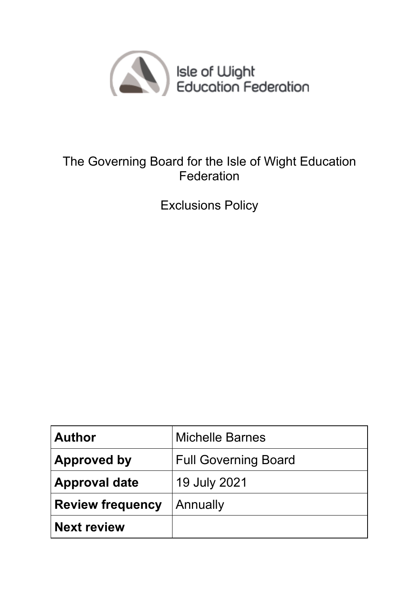

# The Governing Board for the Isle of Wight Education Federation

Exclusions Policy

| <b>Author</b>           | <b>Michelle Barnes</b>      |
|-------------------------|-----------------------------|
| <b>Approved by</b>      | <b>Full Governing Board</b> |
| <b>Approval date</b>    | 19 July 2021                |
| <b>Review frequency</b> | Annually                    |
| <b>Next review</b>      |                             |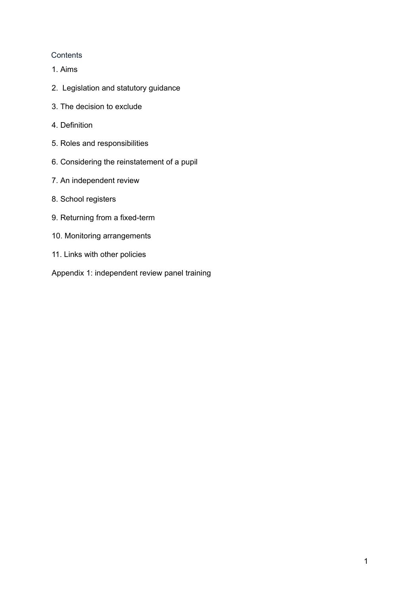# **Contents**

- 1. Aims
- 2. Legislation and statutory guidance
- 3. The decision to exclude
- 4. Definition
- 5. Roles and responsibilities
- 6. Considering the reinstatement of a pupil
- 7. An independent review
- 8. School registers
- 9. Returning from a fixed-term
- 10. Monitoring arrangements
- 11. Links with other policies
- Appendix 1: independent review panel training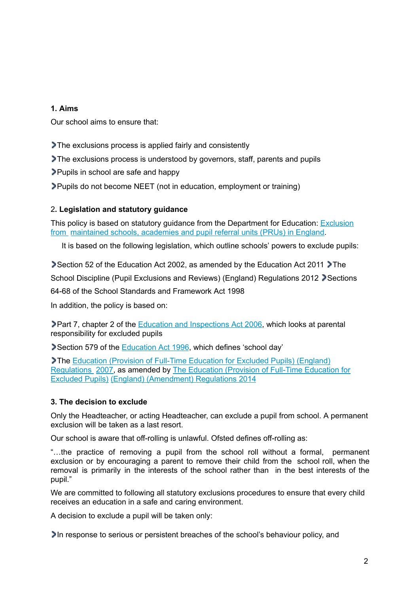# **1. Aims**

Our school aims to ensure that:

The exclusions process is applied fairly and consistently

The exclusions process is understood by governors, staff, parents and pupils

Pupils in school are safe and happy

Pupils do not become NEET (not in education, employment or training)

## 2**. Legislation and statutory guidance**

This policy is based on statutory guidance from the Department for Education: Exclusion from maintained schools, academies and pupil referral units (PRUs) in England.

It is based on the following legislation, which outline schools' powers to exclude pupils:

Section 52 of the Education Act 2002, as amended by the Education Act 2011 The School Discipline (Pupil Exclusions and Reviews) (England) Regulations 2012 Sections

64-68 of the School Standards and Framework Act 1998

In addition, the policy is based on:

Part 7, chapter 2 of the Education and Inspections Act 2006, which looks at parental responsibility for excluded pupils

Section 579 of the Education Act 1996, which defines 'school day'

The Education (Provision of Full-Time Education for Excluded Pupils) (England) Regulations 2007, as amended by The Education (Provision of Full-Time Education for Excluded Pupils) (England) (Amendment) Regulations 2014

## **3. The decision to exclude**

Only the Headteacher, or acting Headteacher, can exclude a pupil from school. A permanent exclusion will be taken as a last resort.

Our school is aware that off-rolling is unlawful. Ofsted defines off-rolling as:

"…the practice of removing a pupil from the school roll without a formal, permanent exclusion or by encouraging a parent to remove their child from the school roll, when the removal is primarily in the interests of the school rather than in the best interests of the pupil."

We are committed to following all statutory exclusions procedures to ensure that every child receives an education in a safe and caring environment.

A decision to exclude a pupil will be taken only:

In response to serious or persistent breaches of the school's behaviour policy, and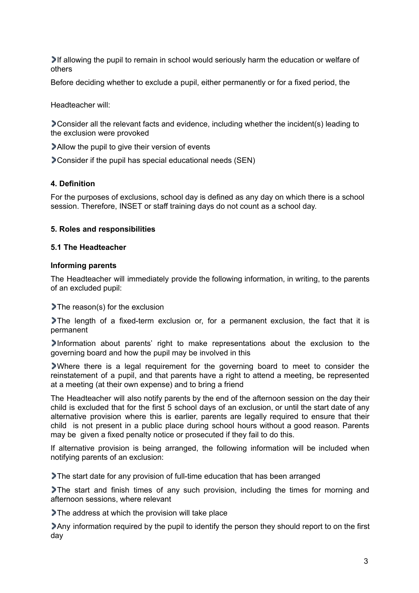If allowing the pupil to remain in school would seriously harm the education or welfare of others

Before deciding whether to exclude a pupil, either permanently or for a fixed period, the

Headteacher will:

Consider all the relevant facts and evidence, including whether the incident(s) leading to the exclusion were provoked

Allow the pupil to give their version of events

Consider if the pupil has special educational needs (SEN)

#### **4. Definition**

For the purposes of exclusions, school day is defined as any day on which there is a school session. Therefore, INSET or staff training days do not count as a school day.

#### **5. Roles and responsibilities**

#### **5.1 The Headteacher**

#### **Informing parents**

The Headteacher will immediately provide the following information, in writing, to the parents of an excluded pupil:

The reason(s) for the exclusion

The length of a fixed-term exclusion or, for a permanent exclusion, the fact that it is permanent

Information about parents' right to make representations about the exclusion to the governing board and how the pupil may be involved in this

Where there is a legal requirement for the governing board to meet to consider the reinstatement of a pupil, and that parents have a right to attend a meeting, be represented at a meeting (at their own expense) and to bring a friend

The Headteacher will also notify parents by the end of the afternoon session on the day their child is excluded that for the first 5 school days of an exclusion, or until the start date of any alternative provision where this is earlier, parents are legally required to ensure that their child is not present in a public place during school hours without a good reason. Parents may be given a fixed penalty notice or prosecuted if they fail to do this.

If alternative provision is being arranged, the following information will be included when notifying parents of an exclusion:

The start date for any provision of full-time education that has been arranged

The start and finish times of any such provision, including the times for morning and afternoon sessions, where relevant

The address at which the provision will take place

Any information required by the pupil to identify the person they should report to on the first day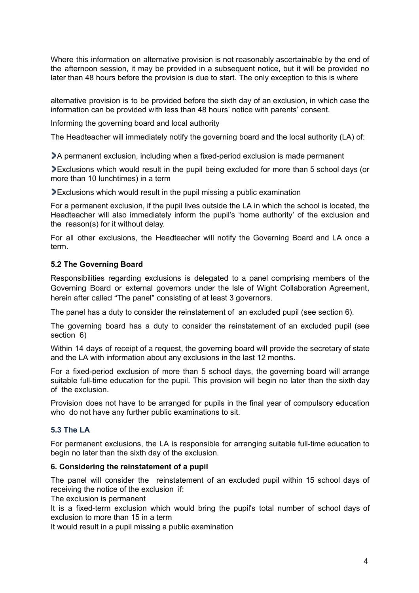Where this information on alternative provision is not reasonably ascertainable by the end of the afternoon session, it may be provided in a subsequent notice, but it will be provided no later than 48 hours before the provision is due to start. The only exception to this is where

alternative provision is to be provided before the sixth day of an exclusion, in which case the information can be provided with less than 48 hours' notice with parents' consent.

Informing the governing board and local authority

The Headteacher will immediately notify the governing board and the local authority (LA) of:

A permanent exclusion, including when a fixed-period exclusion is made permanent

Exclusions which would result in the pupil being excluded for more than 5 school days (or more than 10 lunchtimes) in a term

Exclusions which would result in the pupil missing a public examination

For a permanent exclusion, if the pupil lives outside the LA in which the school is located, the Headteacher will also immediately inform the pupil's 'home authority' of the exclusion and the reason(s) for it without delay.

For all other exclusions, the Headteacher will notify the Governing Board and LA once a term.

## **5.2 The Governing Board**

Responsibilities regarding exclusions is delegated to a panel comprising members of the Governing Board or external governors under the Isle of Wight Collaboration Agreement, herein after called "The panel" consisting of at least 3 governors.

The panel has a duty to consider the reinstatement of an excluded pupil (see section 6).

The governing board has a duty to consider the reinstatement of an excluded pupil (see section 6)

Within 14 days of receipt of a request, the governing board will provide the secretary of state and the LA with information about any exclusions in the last 12 months.

For a fixed-period exclusion of more than 5 school days, the governing board will arrange suitable full-time education for the pupil. This provision will begin no later than the sixth day of the exclusion.

Provision does not have to be arranged for pupils in the final year of compulsory education who do not have any further public examinations to sit.

## **5.3 The LA**

For permanent exclusions, the LA is responsible for arranging suitable full-time education to begin no later than the sixth day of the exclusion.

## **6. Considering the reinstatement of a pupil**

The panel will consider the reinstatement of an excluded pupil within 15 school days of receiving the notice of the exclusion if:

The exclusion is permanent

It is a fixed-term exclusion which would bring the pupil's total number of school days of exclusion to more than 15 in a term

It would result in a pupil missing a public examination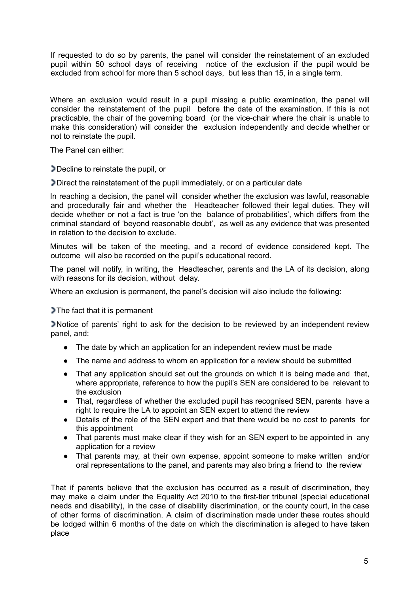If requested to do so by parents, the panel will consider the reinstatement of an excluded pupil within 50 school days of receiving notice of the exclusion if the pupil would be excluded from school for more than 5 school days, but less than 15, in a single term.

Where an exclusion would result in a pupil missing a public examination, the panel will consider the reinstatement of the pupil before the date of the examination. If this is not practicable, the chair of the governing board (or the vice-chair where the chair is unable to make this consideration) will consider the exclusion independently and decide whether or not to reinstate the pupil.

The Panel can either:

Decline to reinstate the pupil, or

Direct the reinstatement of the pupil immediately, or on a particular date

In reaching a decision, the panel will consider whether the exclusion was lawful, reasonable and procedurally fair and whether the Headteacher followed their legal duties. They will decide whether or not a fact is true 'on the balance of probabilities', which differs from the criminal standard of 'beyond reasonable doubt', as well as any evidence that was presented in relation to the decision to exclude.

Minutes will be taken of the meeting, and a record of evidence considered kept. The outcome will also be recorded on the pupil's educational record.

The panel will notify, in writing, the Headteacher, parents and the LA of its decision, along with reasons for its decision, without delay.

Where an exclusion is permanent, the panel's decision will also include the following:

# The fact that it is permanent

Notice of parents' right to ask for the decision to be reviewed by an independent review panel, and:

- The date by which an application for an independent review must be made
- The name and address to whom an application for a review should be submitted
- That any application should set out the grounds on which it is being made and that, where appropriate, reference to how the pupil's SEN are considered to be relevant to the exclusion
- That, regardless of whether the excluded pupil has recognised SEN, parents have a right to require the LA to appoint an SEN expert to attend the review
- Details of the role of the SEN expert and that there would be no cost to parents for this appointment
- That parents must make clear if they wish for an SEN expert to be appointed in any application for a review
- That parents may, at their own expense, appoint someone to make written and/or oral representations to the panel, and parents may also bring a friend to the review

That if parents believe that the exclusion has occurred as a result of discrimination, they may make a claim under the Equality Act 2010 to the first-tier tribunal (special educational needs and disability), in the case of disability discrimination, or the county court, in the case of other forms of discrimination. A claim of discrimination made under these routes should be lodged within 6 months of the date on which the discrimination is alleged to have taken place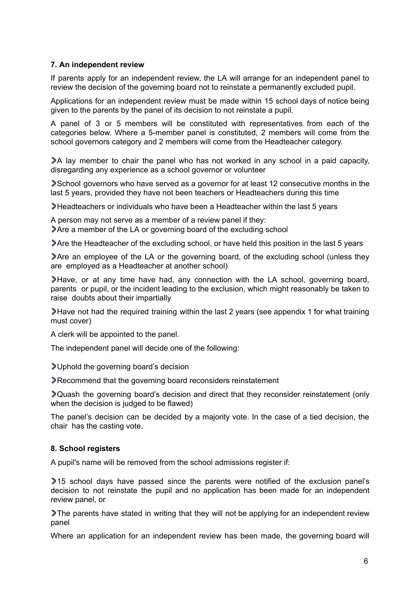## **7. An independent review**

If parents apply for an independent review, the LA will arrange for an independent panel to review the decision of the governing board not to reinstate a permanently excluded pupil.

Applications for an independent review must be made within 15 school days of notice being given to the parents by the panel of its decision to not reinstate a pupil.

A panel of 3 or 5 members will be constituted with representatives from each of the categories below. Where a 5-member panel is constituted, 2 members will come from the school governors category and 2 members will come from the Headteacher category.

A lay member to chair the panel who has not worked in any school in a paid capacity, disregarding any experience as a school governor or volunteer

School governors who have served as a governor for at least 12 consecutive months in the last 5 years, provided they have not been teachers or Headteachers during this time

Headteachers or individuals who have been a Headteacher within the last 5 years

A person may not serve as a member of a review panel if they:

Are a member of the LA or governing board of the excluding school

Are the Headteacher of the excluding school, or have held this position in the last 5 years

Are an employee of the LA or the governing board, of the excluding school (unless they are employed as a Headteacher at another school)

Have, or at any time have had, any connection with the LA school, governing board, parents or pupil, or the incident leading to the exclusion, which might reasonably be taken to raise doubts about their impartially

Have not had the required training within the last 2 years (see appendix 1 for what training must cover)

A clerk will be appointed to the panel.

The independent panel will decide one of the following:

Uphold the governing board's decision

Recommend that the governing board reconsiders reinstatement

Quash the governing board's decision and direct that they reconsider reinstatement (only when the decision is judged to be flawed)

The panel's decision can be decided by a majority vote. In the case of a tied decision, the chair has the casting vote.

## **8. School registers**

A pupil's name will be removed from the school admissions register if:

15 school days have passed since the parents were notified of the exclusion panel's decision to not reinstate the pupil and no application has been made for an independent review panel, or

The parents have stated in writing that they will not be applying for an independent review panel

Where an application for an independent review has been made, the governing board will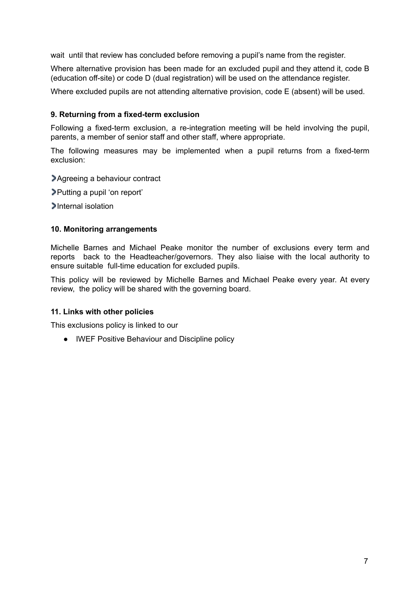wait until that review has concluded before removing a pupil's name from the register.

Where alternative provision has been made for an excluded pupil and they attend it, code B (education off-site) or code D (dual registration) will be used on the attendance register.

Where excluded pupils are not attending alternative provision, code E (absent) will be used.

## **9. Returning from a fixed-term exclusion**

Following a fixed-term exclusion, a re-integration meeting will be held involving the pupil, parents, a member of senior staff and other staff, where appropriate.

The following measures may be implemented when a pupil returns from a fixed-term exclusion:

Agreeing a behaviour contract

Putting a pupil 'on report'

Internal isolation

#### **10. Monitoring arrangements**

Michelle Barnes and Michael Peake monitor the number of exclusions every term and reports back to the Headteacher/governors. They also liaise with the local authority to ensure suitable full-time education for excluded pupils.

This policy will be reviewed by Michelle Barnes and Michael Peake every year. At every review, the policy will be shared with the governing board.

#### **11. Links with other policies**

This exclusions policy is linked to our

● IWEF Positive Behaviour and Discipline policy